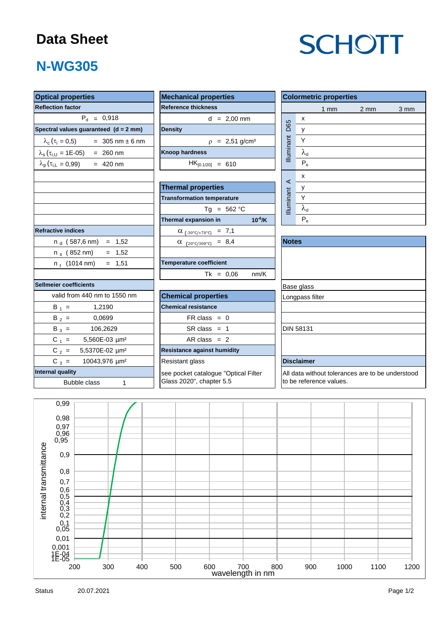### **Data Sheet**

# **SCHOTT**

## **N-WG305**

| <b>Optical properties</b>                                  | <b>Mechanical properties</b>            | <b>Colormetric properties</b>                    |  |  |  |  |  |
|------------------------------------------------------------|-----------------------------------------|--------------------------------------------------|--|--|--|--|--|
| <b>Reflection factor</b>                                   | <b>Reference thickness</b>              | 1 <sub>mm</sub><br>$2 \, \text{mm}$<br>3 mm      |  |  |  |  |  |
| $P_{d} = 0.918$                                            | $d = 2,00$ mm                           | $\pmb{\mathsf{X}}$                               |  |  |  |  |  |
| Spectral values guaranteed (d = 2 mm)                      | <b>Density</b>                          | D65<br>$\mathsf{y}$                              |  |  |  |  |  |
| $\lambda_c$ ( $\tau_i$ = 0,5)<br>$= 305$ nm $\pm 6$ nm     | $p = 2,51$ g/cm <sup>3</sup>            | Illuminant<br>Y                                  |  |  |  |  |  |
| $\lambda_{s}(\tau_{i,U} = 1E-05) = 260$ nm                 | <b>Knoop hardness</b>                   | $\lambda_{\rm d}$                                |  |  |  |  |  |
| $\lambda_{\rm p}$ ( $\tau_{\rm i,L}$ = 0,99)<br>$= 420$ nm | $HK_{[0.1/20]} = 610$                   | $P_e$                                            |  |  |  |  |  |
|                                                            |                                         | x                                                |  |  |  |  |  |
|                                                            | <b>Thermal properties</b>               | $\prec$<br>у                                     |  |  |  |  |  |
|                                                            | <b>Transformation temperature</b>       | Illuminant<br>Y                                  |  |  |  |  |  |
|                                                            | $Tg = 562 °C$                           | $\lambda_{\sf d}$                                |  |  |  |  |  |
|                                                            | $10^{-6}$ /K<br>Thermal expansion in    | $P_e$                                            |  |  |  |  |  |
| <b>Refractive indices</b>                                  | $\alpha$ <sub>(-30°C/+70°C)</sub> = 7,1 |                                                  |  |  |  |  |  |
| $n_d$ (587,6 nm) = 1,52                                    | $\alpha$ (20°C/300°C) = 8,4             | <b>Notes</b>                                     |  |  |  |  |  |
| n <sub>s</sub> (852 nm)<br>$= 1,52$                        |                                         |                                                  |  |  |  |  |  |
| $= 1,51$<br>$n_t$ (1014 nm)                                | <b>Temperature coefficient</b>          |                                                  |  |  |  |  |  |
|                                                            | $Tk = 0,06$<br>nm/K                     |                                                  |  |  |  |  |  |
| <b>Sellmeier coefficients</b>                              |                                         | Base glass                                       |  |  |  |  |  |
| valid from 440 nm to 1550 nm                               | <b>Chemical properties</b>              | Longpass filter                                  |  |  |  |  |  |
| $B_1 =$<br>1,2190                                          | <b>Chemical resistance</b>              |                                                  |  |  |  |  |  |
| $B_2 =$<br>0,0699                                          | $FR \text{ class } = 0$                 |                                                  |  |  |  |  |  |
| $B_3 =$<br>106,2629                                        | $SR class = 1$                          | <b>DIN 58131</b>                                 |  |  |  |  |  |
| $C_1 =$<br>5,560E-03 µm <sup>2</sup>                       | AR class $= 2$                          |                                                  |  |  |  |  |  |
| $C_2 =$<br>5,5370E-02 µm <sup>2</sup>                      | <b>Resistance against humidity</b>      |                                                  |  |  |  |  |  |
| $C_3 =$<br>10043,976 µm <sup>2</sup>                       | Resistant glass                         | <b>Disclaimer</b>                                |  |  |  |  |  |
| <b>Internal quality</b>                                    | see pocket catalogue "Optical Filter    | All data without tolerances are to be understood |  |  |  |  |  |
| <b>Bubble class</b><br>$\mathbf{1}$                        | Glass 2020", chapter 5.5                | to be reference values.                          |  |  |  |  |  |
| 0.99                                                       |                                         |                                                  |  |  |  |  |  |